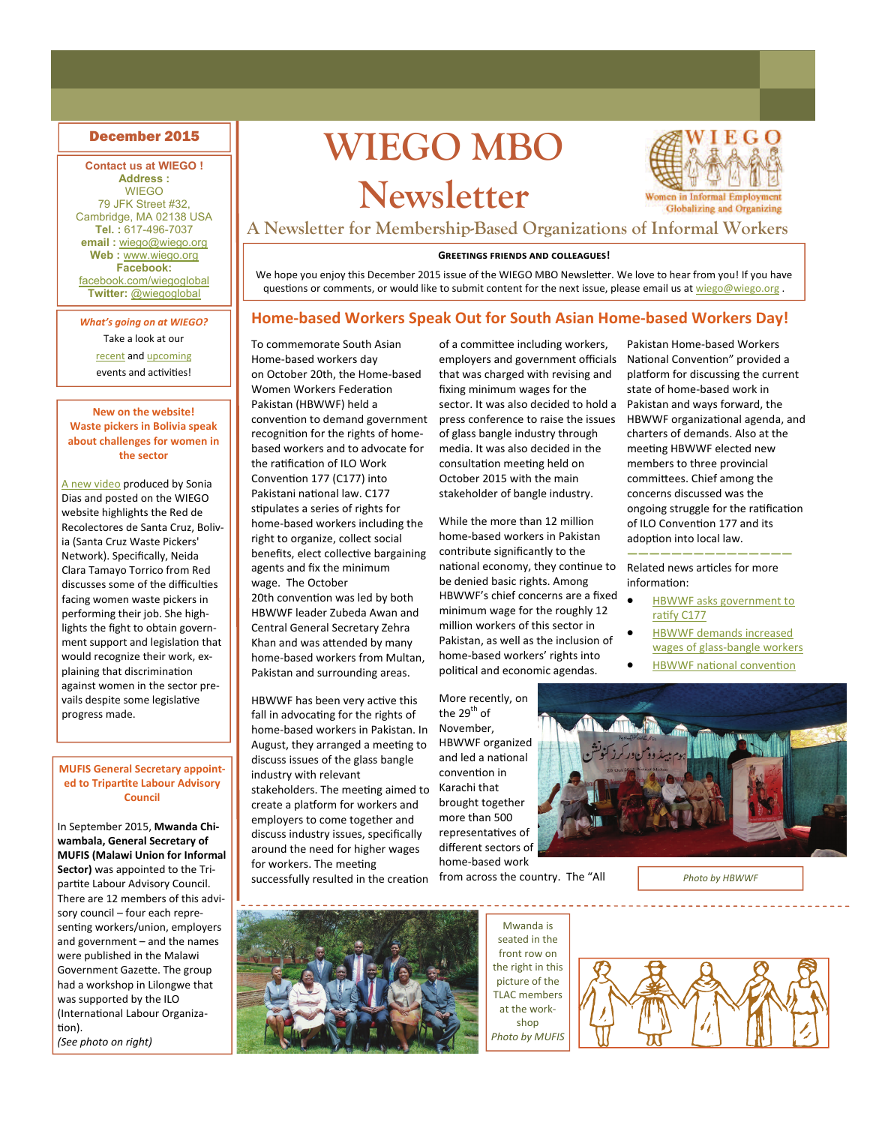### **Contact us at WIEGO ! Address :**

WIEGO 79 JFK Street #32, Cambridge, MA 02138 USA **Tel. :** 617-496-7037 **email :** [wiego@wiego.org](mailto:wiego@wiego.org) **Web :** [www.wiego.org](http://www.wiego.org) **Facebook:**  [facebook.com/wiegoglobal](https://www.facebook.com/wiegoglobal) **Twitter:** [@wiegoglobal](https://twitter.com/wiegoglobal)

*What's going on at WIEGO?*  Take a look at our [recent](http://wiego.org/news-events/archive) and [upcoming](http://wiego.org/events) events and activities!

### **New on the website! Waste pickers in Bolivia speak about challenges for women in the sector**

A new [video](http://wiego.org/resources/entrevista-con-neida-clara-tamayo-torrico-english-subtitles) produced by Sonia Dias and posted on the WIEGO website highlights the Red de Recolectores de Santa Cruz, Boliv‐ ia (Santa Cruz Waste Pickers' Network). Specifically, Neida Clara Tamayo Torrico from Red discusses some of the difficulties facing women waste pickers in performing their job. She high‐ lights the fight to obtain govern‐ ment support and legislation that would recognize their work, ex‐ plaining that discrimination against women in the sector pre‐ vails despite some legislative progress made.

**MUFIS General Secretary appoint‐ ed to TriparƟte Labour Advisory Council**

In September 2015, **Mwanda Chi‐ wambala, General Secretary of MUFIS (Malawi Union for Informal Sector)** was appointed to the Tri‐ partite Labour Advisory Council. There are 12 members of this advi‐ sory council – four each repre‐ senting workers/union, employers and government – and the names were published in the Malawi Government Gazette. The group had a workshop in Lilongwe that was supported by the ILO (International Labour Organization).

*(See photo on right)*

# **December 2015 MBO WIEGO MBO Newsletter**



Pakistan Home‐based Workers National Convention" provided a platform for discussing the current state of home‐based work in Pakistan and ways forward, the HBWWF organizational agenda, and charters of demands. Also at the meeting HBWWF elected new members to three provincial committees. Chief among the concerns discussed was the ongoing struggle for the ratification of ILO Convention 177 and its adoption into local law.

**———————————————** Related news articles for more

HBWWF asks [government](http://wiego.org/news/govt-asked-apply-labor-laws-home-based-workers-ratify-ilo-work-convention-177) to

 HBWWF demands [increased](http://wiego.org/news/demand-raise-wages-glass-bangle-workers) wages of glass-bangle [workers](http://wiego.org/news/demand-raise-wages-glass-bangle-workers) **[HBWWF](http://wiego.org/news/%EF%BB%BFlack-policy-resulting-exploitation-12mn-home-based-workers) national convention** 

information:

ratify [C177](http://wiego.org/news/govt-asked-apply-labor-laws-home-based-workers-ratify-ilo-work-convention-177)

**A Newsletter for Membership-Based Organizations of Informal Workers**

### **GREETINGS FRIENDS AND COLLEAGUES!**

We hope you enjoy this December 2015 issue of the WIEGO MBO Newsletter. We love to hear from you! If you have questions or comments, or would like to submit content for the next issue, please email us at [wiego@wiego.org](mailto:wiego@wiego.org) .

### **Home‐based Workers Speak Out for South Asian Home‐based Workers Day!**

To commemorate South Asian Home‐based workers day on October 20th, the Home‐based Women Workers Federation Pakistan (HBWWF) held a convention to demand government recognition for the rights of homebased workers and to advocate for the ratification of ILO Work Convention 177 (C177) into Pakistani national law. C177 stipulates a series of rights for home‐based workers including the right to organize, collect social benefits, elect collective bargaining agents and fix the minimum wage. The October 20th convention was led by both HBWWF leader Zubeda Awan and Central General Secretary Zehra Khan and was attended by many home‐based workers from Multan, Pakistan and surrounding areas.

HBWWF has been very active this fall in advocating for the rights of home‐based workers in Pakistan. In August, they arranged a meeting to discuss issues of the glass bangle industry with relevant stakeholders. The meeting aimed to create a platform for workers and employers to come together and discuss industry issues, specifically around the need for higher wages for workers. The meeting successfully resulted in the creation

of a committee including workers, employers and government officials that was charged with revising and fixing minimum wages for the sector. It was also decided to hold a press conference to raise the issues of glass bangle industry through media. It was also decided in the consultation meeting held on October 2015 with the main stakeholder of bangle industry.

While the more than 12 million home‐based workers in Pakistan contribute significantly to the national economy, they continue to be denied basic rights. Among HBWWF's chief concerns are a fixed minimum wage for the roughly 12 million workers of this sector in Pakistan, as well as the inclusion of home‐based workers' rights into political and economic agendas.

More recently, on the 29<sup>th</sup> of November, HBWWF organized and led a national convenƟon in Karachi that brought together more than 500 representaƟves of different sectors of home‐based work

*Photo by HBWWF*

Mwanda is seated in the front row on the right in this picture of the TLAC members at the work‐ shop

*Photo by MUFIS*



from across the country. The "All